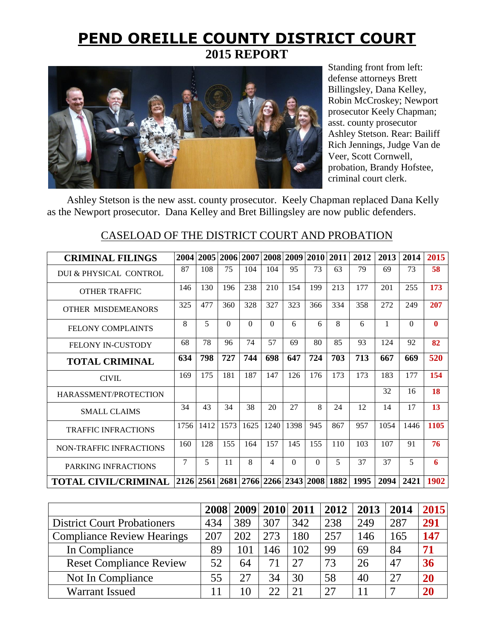## **PEND OREILLE COUNTY DISTRICT COURT 2015 REPORT**



Standing front from left: defense attorneys Brett Billingsley, Dana Kelley, Robin McCroskey; Newport prosecutor Keely Chapman; asst. county prosecutor Ashley Stetson. Rear: Bailiff Rich Jennings, Judge Van de Veer, Scott Cornwell, probation, Brandy Hofstee, criminal court clerk.

 Ashley Stetson is the new asst. county prosecutor. Keely Chapman replaced Dana Kelly as the Newport prosecutor. Dana Kelley and Bret Billingsley are now public defenders.

# **CRIMINAL FILINGS 2004 2005 2006 2007 2008 2009 2010 2011 2012 2013 2014 2015** DUI & PHYSICAL CONTROL <sup>87</sup> <sup>108</sup> <sup>75</sup> <sup>104</sup> <sup>104</sup> 95 73 <sup>63</sup> <sup>79</sup> <sup>69</sup> <sup>73</sup> **<sup>58</sup>** OTHER TRAFFIC <sup>146</sup> <sup>130</sup> <sup>196</sup> <sup>238</sup> <sup>210</sup> <sup>154</sup> <sup>199</sup> <sup>213</sup> <sup>177</sup> <sup>201</sup> <sup>255</sup> **<sup>173</sup>** OTHER MISDEMEANORS <sup>325</sup> <sup>477</sup> <sup>360</sup> <sup>328</sup> <sup>327</sup> <sup>323</sup> <sup>366</sup> <sup>334</sup> <sup>358</sup> <sup>272</sup> <sup>249</sup> **<sup>207</sup>** FELONY COMPLAINTS <sup>8</sup> <sup>5</sup> <sup>0</sup> <sup>0</sup> <sup>0</sup> 6 6 <sup>8</sup> <sup>6</sup> <sup>1</sup> <sup>0</sup> **<sup>0</sup>** FELONY IN-CUSTODY 68 78 96 74 57 69 80 85 93 124 92 **82 TOTAL CRIMINAL <sup>634</sup> <sup>798</sup> <sup>727</sup> <sup>744</sup> <sup>698</sup> <sup>647</sup> <sup>724</sup> <sup>703</sup> <sup>713</sup> <sup>667</sup> <sup>669</sup> <sup>520</sup>** CIVIL 169 175 181 187 147 126 176 173 173 183 177 **154** HARASSMENT/PROTECTION 32 16 **18** SMALL CLAIMS 34 43 34 38 20 27 8 24 12 14 17 13 TRAFFIC INFRACTIONS <sup>1756</sup> <sup>1412</sup> <sup>1573</sup> <sup>1625</sup> <sup>1240</sup> <sup>1398</sup> <sup>945</sup> <sup>867</sup> <sup>957</sup> <sup>1054</sup> <sup>1446</sup> **<sup>1105</sup>** NON-TRAFFIC INFRACTIONS <sup>160</sup> <sup>128</sup> <sup>155</sup> <sup>164</sup> <sup>157</sup> <sup>145</sup> <sup>155</sup> <sup>110</sup> <sup>103</sup> <sup>107</sup> <sup>91</sup> **<sup>76</sup>** PARKING INFRACTIONS <sup>7</sup> <sup>5</sup> <sup>11</sup> <sup>8</sup> <sup>4</sup> 0 0 <sup>5</sup> <sup>37</sup> <sup>37</sup> <sup>5</sup> **<sup>6</sup> TOTAL CIVIL/CRIMINAL 2126 2561 2681 2766 2266 2343 2008 1882 1995 2094 2421 1902**

### CASELOAD OF THE DISTRICT COURT AND PROBATION

|                                    | 2008 |     | 2009 2010 2011 |     | 2012 | 2013 | 2014          | 2015 |
|------------------------------------|------|-----|----------------|-----|------|------|---------------|------|
| <b>District Court Probationers</b> | 434  | 389 | 307            | 342 | 238  | 249  | 287           | 291  |
| <b>Compliance Review Hearings</b>  | 207  | 202 | 273            | 180 | 257  | 146  | 165           | 147  |
| In Compliance                      | 89   | 101 | 146            | 102 | 99   | 69   | 84            | 71   |
| <b>Reset Compliance Review</b>     | 52   | 64  | 71             | 27  | 73   | 26   | 47            | 36   |
| Not In Compliance                  | 55   | 27  | 34             | 30  | 58   | 40   | 27            | 20   |
| <b>Warrant Issued</b>              |      |     | つつ             | 21  | 27   |      | $\mathcal{L}$ |      |